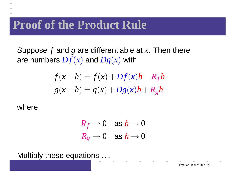## **Proof of the Product Rule**

Suppose*f* and*g* are differentiable at *<sup>x</sup>*. Then thereare numbers  $Df(x)$  and  $Dg(x)$  with

$$
f(x+h) = f(x) + Df(x)h + R_f h
$$

$$
g(x+h) = g(x) + Dg(x)h + R_g h
$$

where

$$
R_f \to 0 \quad \text{as } h \to 0
$$
  

$$
R_g \to 0 \quad \text{as } h \to 0
$$

Multiply these equations  $\dots$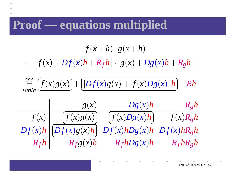## **Proof — equations multiplied**

$$
f(x+h) \cdot g(x+h)
$$
\n
$$
= [f(x) + Df(x)h + R_f h] \cdot [g(x) + Dg(x)h + R_g h]
$$
\n
$$
\stackrel{see}{=} \underbrace{\frac{f(x)g(x)}{f(bg(x))} + \underbrace{\frac{[Df(x)g(x) + f(x)Dg(x)]h}_{g(bg(x))} + Rh}_{f(x) \quad \boxed{f(x)g(x)}} + \underbrace{\frac{Dg(x)h}{g(bg(x))} + \frac{R_g h}{g(bg(x))}}_{Bf(x)h} \underbrace{\frac{Df(x)g(x)h}{Df(x)hDg(x)h}}_{Bf(x)h} \underbrace{\frac{Df(x)g(x)h}{Bf(bg(x))} + \frac{Df(x)g(x)h}{Bg(bg(x))}}_{Bf(h)h} \underbrace{\frac{Df(x)g(x)h}{Bf(bg(x))} + \frac{Df(x)g(x)h}{Bg(bg(x))}}_{Bf(h)h}
$$

Proof of Product Rule – p.2

 $\blacksquare$ 

 $\bullet$ 

 $\mathcal{L}^{\mathcal{L}}(\mathcal{L}^{\mathcal{L}}(\mathcal{L}^{\mathcal{L}}(\mathcal{L}^{\mathcal{L}}(\mathcal{L}^{\mathcal{L}}(\mathcal{L}^{\mathcal{L}}(\mathcal{L}^{\mathcal{L}}(\mathcal{L}^{\mathcal{L}}(\mathcal{L}^{\mathcal{L}}(\mathcal{L}^{\mathcal{L}}(\mathcal{L}^{\mathcal{L}}(\mathcal{L}^{\mathcal{L}}(\mathcal{L}^{\mathcal{L}}(\mathcal{L}^{\mathcal{L}}(\mathcal{L}^{\mathcal{L}}(\mathcal{L}^{\mathcal{L}}(\mathcal{L}^{\mathcal{L$ 

 $\bullet$